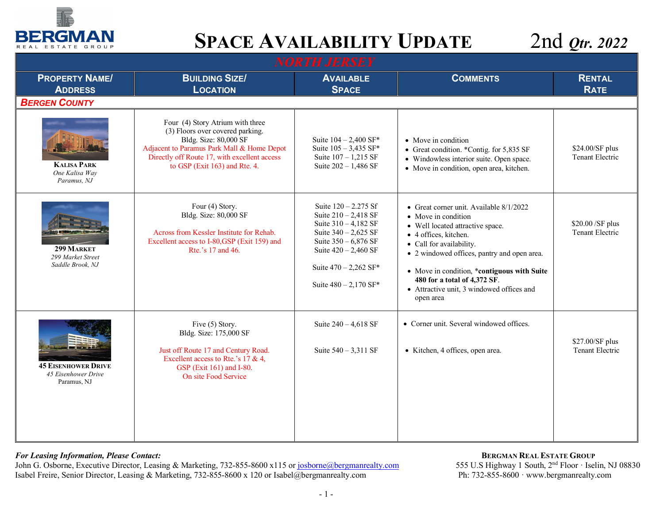

| <b>NORTH JERSEY</b>                                              |                                                                                                                                                                                                                              |                                                                                                                                                                                                            |                                                                                                                                                                                                                                                                                                                                                 |                                           |  |
|------------------------------------------------------------------|------------------------------------------------------------------------------------------------------------------------------------------------------------------------------------------------------------------------------|------------------------------------------------------------------------------------------------------------------------------------------------------------------------------------------------------------|-------------------------------------------------------------------------------------------------------------------------------------------------------------------------------------------------------------------------------------------------------------------------------------------------------------------------------------------------|-------------------------------------------|--|
| <b>PROPERTY NAME/</b><br><b>ADDRESS</b>                          | <b>BUILDING SIZE/</b><br><b>LOCATION</b>                                                                                                                                                                                     | <b>AVAILABLE</b><br><b>SPACE</b>                                                                                                                                                                           | <b>COMMENTS</b>                                                                                                                                                                                                                                                                                                                                 | <b>RENTAL</b><br><b>RATE</b>              |  |
| <b>BERGEN COUNTY</b>                                             |                                                                                                                                                                                                                              |                                                                                                                                                                                                            |                                                                                                                                                                                                                                                                                                                                                 |                                           |  |
| <b>KALISA PARK</b><br>One Kalisa Way<br>Paramus, NJ              | Four (4) Story Atrium with three<br>(3) Floors over covered parking.<br>Bldg. Size: 80,000 SF<br>Adjacent to Paramus Park Mall & Home Depot<br>Directly off Route 17, with excellent access<br>to GSP (Exit 163) and Rte. 4. | Suite $104 - 2,400$ SF*<br>Suite $105 - 3,435$ SF*<br>Suite $107 - 1,215$ SF<br>Suite $202 - 1,486$ SF                                                                                                     | • Move in condition<br>• Great condition. *Contig. for 5,835 SF<br>• Windowless interior suite. Open space.<br>• Move in condition, open area, kitchen.                                                                                                                                                                                         | \$24.00/SF plus<br><b>Tenant Electric</b> |  |
| 299 MARKET<br>299 Market Street<br>Saddle Brook, NJ              | Four (4) Story.<br>Bldg. Size: 80,000 SF<br>Across from Kessler Institute for Rehab.<br>Excellent access to I-80, GSP (Exit 159) and<br>Rte.'s 17 and 46.                                                                    | Suite 120 - 2.275 Sf<br>Suite $210 - 2,418$ SF<br>Suite 310 - 4,182 SF<br>Suite $340 - 2,625$ SF<br>Suite $350 - 6,876$ SF<br>Suite $420 - 2,460$ SF<br>Suite $470 - 2,262$ SF*<br>Suite $480 - 2,170$ SF* | • Great corner unit. Available 8/1/2022<br>• Move in condition<br>• Well located attractive space.<br>• 4 offices, kitchen.<br>• Call for availability.<br>• 2 windowed offices, pantry and open area.<br>• Move in condition, *contiguous with Suite<br>480 for a total of 4,372 SF.<br>• Attractive unit, 3 windowed offices and<br>open area | \$20.00 / SF plus<br>Tenant Electric      |  |
| <b>45 EISENHOWER DRIVE</b><br>45 Eisenhower Drive<br>Paramus, NJ | Five (5) Story.<br>Bldg. Size: 175,000 SF<br>Just off Route 17 and Century Road.<br>Excellent access to Rte.'s 17 & 4,<br>GSP (Exit 161) and I-80.<br>On site Food Service                                                   | Suite 240 - 4,618 SF<br>Suite $540 - 3,311$ SF                                                                                                                                                             | • Corner unit. Several windowed offices.<br>• Kitchen, 4 offices, open area.                                                                                                                                                                                                                                                                    | \$27.00/SF plus<br>Tenant Electric        |  |

### *For Leasing Information, Please Contact:* $\qquad \qquad$  **<b>BERGMAN REAL ESTATE GROUP**

John G. Osborne, Executive Director, Leasing & Marketing, 732-855-8600 x115 or josborne@bergmanrealty.com 555 U.S Highway 1 South, 2<sup>nd</sup> Floor · Iselin, N<br>Isabel Freire, Senior Director, Leasing & Marketing, 732-855-8600 x Isabel Freire, Senior Director, Leasing & Marketing, 732-855-8600 x 120 or Isabel@bergmanrealty.com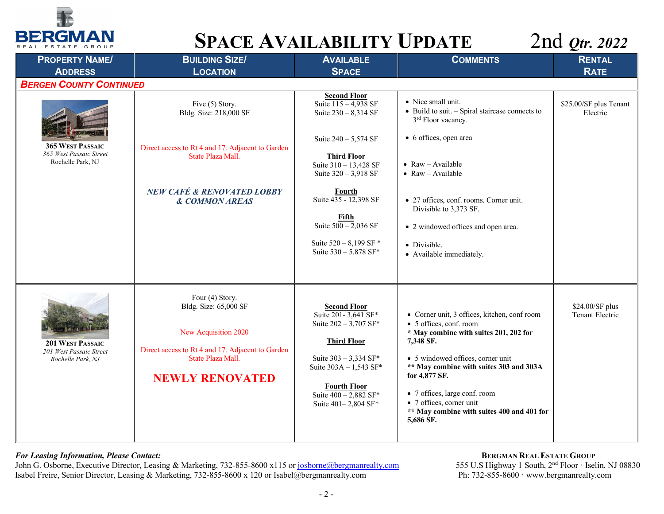



| <b>PROPERTY NAME/</b>                                                   | <b>BUILDING SIZE/</b>                                                                                                                                               | <b>AVAILABLE</b>                                                                                                                                                                                                        | <b>COMMENTS</b>                                                                                                                                                                                                                                                                                                                                         | <b>RENTAL</b>                      |
|-------------------------------------------------------------------------|---------------------------------------------------------------------------------------------------------------------------------------------------------------------|-------------------------------------------------------------------------------------------------------------------------------------------------------------------------------------------------------------------------|---------------------------------------------------------------------------------------------------------------------------------------------------------------------------------------------------------------------------------------------------------------------------------------------------------------------------------------------------------|------------------------------------|
| <b>ADDRESS</b>                                                          | <b>LOCATION</b>                                                                                                                                                     | <b>SPACE</b>                                                                                                                                                                                                            |                                                                                                                                                                                                                                                                                                                                                         | <b>RATE</b>                        |
| <b>BERGEN COUNTY CONTINUED</b>                                          |                                                                                                                                                                     |                                                                                                                                                                                                                         |                                                                                                                                                                                                                                                                                                                                                         |                                    |
|                                                                         | Five (5) Story.<br>Bldg. Size: 218,000 SF                                                                                                                           | <b>Second Floor</b><br>Suite $115 - 4,938$ SF<br>Suite 230 - 8,314 SF                                                                                                                                                   | • Nice small unit.<br>$\bullet$ Build to suit. $-$ Spiral staircase connects to<br>3 <sup>rd</sup> Floor vacancy.                                                                                                                                                                                                                                       | \$25.00/SF plus Tenant<br>Electric |
| <b>365 WEST PASSAIC</b><br>365 West Passaic Street<br>Rochelle Park, NJ | Direct access to Rt 4 and 17. Adjacent to Garden<br>State Plaza Mall.                                                                                               | Suite $240 - 5,574$ SF<br><b>Third Floor</b><br>Suite 310 - 13,428 SF<br>Suite $320 - 3,918$ SF                                                                                                                         | • 6 offices, open area<br>$\bullet$ Raw - Available<br>$\bullet$ Raw - Available                                                                                                                                                                                                                                                                        |                                    |
|                                                                         | <b>NEW CAFÉ &amp; RENOVATED LOBBY</b><br>& COMMON AREAS                                                                                                             | Fourth<br>Suite 435 - 12,398 SF<br>Fifth<br>Suite $500 - 2,036$ SF<br>Suite 520 - 8,199 SF *<br>Suite 530 - 5.878 SF*                                                                                                   | • 27 offices, conf. rooms. Corner unit.<br>Divisible to 3,373 SF.<br>• 2 windowed offices and open area.<br>• Divisible.<br>• Available immediately.                                                                                                                                                                                                    |                                    |
| 201 WEST PASSAIC<br>201 West Passaic Street<br>Rochelle Park, NJ        | Four (4) Story.<br>Bldg. Size: 65,000 SF<br>New Acquisition 2020<br>Direct access to Rt 4 and 17. Adjacent to Garden<br>State Plaza Mall.<br><b>NEWLY RENOVATED</b> | <b>Second Floor</b><br>Suite 201-3,641 SF*<br>Suite $202 - 3,707$ SF*<br><b>Third Floor</b><br>Suite 303 - 3,334 SF*<br>Suite 303A - 1,543 SF*<br><b>Fourth Floor</b><br>Suite $400 - 2,882$ SF*<br>Suite 401-2,804 SF* | • Corner unit, 3 offices, kitchen, conf room<br>• 5 offices, conf. room<br>* May combine with suites 201, 202 for<br>7,348 SF.<br>• 5 windowed offices, corner unit<br>** May combine with suites 303 and 303A<br>for 4,877 SF.<br>• 7 offices, large conf. room<br>• 7 offices, corner unit<br>** May combine with suites 400 and 401 for<br>5,686 SF. | \$24.00/SF plus<br>Tenant Electric |

### *For Leasing Information, Please Contact:* $\qquad \qquad$  **<b>BERGMAN REAL ESTATE GROUP**

John G. Osborne, Executive Director, Leasing & Marketing, 732-855-8600 x115 or josborne@bergmanrealty.com 555 U.S Highway 1 South, 2<sup>nd</sup> Floor · Iselin, N<br>Isabel Freire, Senior Director, Leasing & Marketing, 732-855-8600 x Isabel Freire, Senior Director, Leasing & Marketing, 732-855-8600 x 120 or Isabel@bergmanrealty.com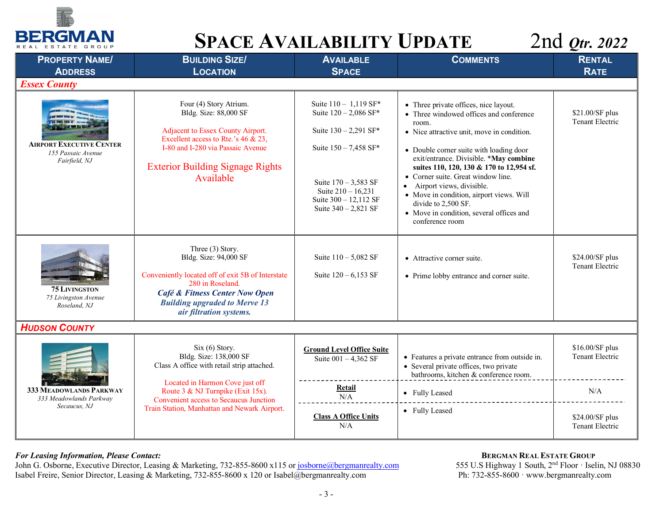



| <b>PROPERTY NAME/</b><br><b>ADDRESS</b>                                | <b>BUILDING SIZE/</b><br><b>LOCATION</b>                                                                                                                                                                                 | <b>AVAILABLE</b><br><b>SPACE</b>                                                                                                                                                                      | <b>COMMENTS</b>                                                                                                                                                                                                                                                                                                                                                                                                                                                                 | <b>RENTAL</b><br><b>RATE</b>       |
|------------------------------------------------------------------------|--------------------------------------------------------------------------------------------------------------------------------------------------------------------------------------------------------------------------|-------------------------------------------------------------------------------------------------------------------------------------------------------------------------------------------------------|---------------------------------------------------------------------------------------------------------------------------------------------------------------------------------------------------------------------------------------------------------------------------------------------------------------------------------------------------------------------------------------------------------------------------------------------------------------------------------|------------------------------------|
| <b>Essex County</b>                                                    |                                                                                                                                                                                                                          |                                                                                                                                                                                                       |                                                                                                                                                                                                                                                                                                                                                                                                                                                                                 |                                    |
| <b>AIRPORT EXECUTIVE CENTER</b><br>155 Passaic Avenue<br>Fairfield, NJ | Four (4) Story Atrium.<br>Bldg. Size: 88,000 SF<br>Adjacent to Essex County Airport.<br>Excellent access to Rte.'s 46 & 23,<br>I-80 and I-280 via Passaic Avenue<br><b>Exterior Building Signage Rights</b><br>Available | Suite 110 - 1,119 SF*<br>Suite 120 - 2,086 SF*<br>Suite $130 - 2,291$ SF*<br>Suite 150 - 7,458 SF*<br>Suite 170 - 3,583 SF<br>Suite $210 - 16,231$<br>Suite 300 - 12,112 SF<br>Suite $340 - 2,821$ SF | • Three private offices, nice layout.<br>• Three windowed offices and conference<br>room.<br>• Nice attractive unit, move in condition.<br>• Double corner suite with loading door<br>exit/entrance. Divisible. *May combine<br>suites 110, 120, 130 & 170 to 12,954 sf.<br>• Corner suite. Great window line.<br>• Airport views, divisible.<br>• Move in condition, airport views. Will<br>divide to 2,500 SF.<br>• Move in condition, several offices and<br>conference room | \$21.00/SF plus<br>Tenant Electric |
| <b>75 LIVINGSTON</b><br>75 Livingston Avenue<br>Roseland, NJ           | Three (3) Story.<br>Bldg. Size: 94,000 SF<br>Conveniently located off of exit 5B of Interstate<br>280 in Roseland.<br>Café & Fitness Center Now Open<br><b>Building upgraded to Merve 13</b><br>air filtration systems.  | Suite 110 - 5,082 SF<br>Suite $120 - 6,153$ SF                                                                                                                                                        | • Attractive corner suite.<br>• Prime lobby entrance and corner suite.                                                                                                                                                                                                                                                                                                                                                                                                          | \$24.00/SF plus<br>Tenant Electric |
| <b>HUDSON COUNTY</b>                                                   |                                                                                                                                                                                                                          |                                                                                                                                                                                                       |                                                                                                                                                                                                                                                                                                                                                                                                                                                                                 |                                    |
|                                                                        | Six (6) Story.<br>Bldg. Size: 138,000 SF<br>Class A office with retail strip attached.                                                                                                                                   | <b>Ground Level Office Suite</b><br>Suite $001 - 4,362$ SF                                                                                                                                            | • Features a private entrance from outside in.<br>• Several private offices, two private<br>bathrooms, kitchen & conference room.                                                                                                                                                                                                                                                                                                                                               | \$16.00/SF plus<br>Tenant Electric |
| 333 MEADOWLANDS PARKWAY<br>333 Meadowlands Parkway                     | Located in Harmon Cove just off<br>Route 3 & NJ Turnpike (Exit 15x).<br><b>Convenient access to Secaucus Junction</b>                                                                                                    | Retail<br>N/A                                                                                                                                                                                         | • Fully Leased                                                                                                                                                                                                                                                                                                                                                                                                                                                                  | $\rm N/A$                          |
| Secaucus, NJ                                                           | Train Station, Manhattan and Newark Airport.                                                                                                                                                                             | <b>Class A Office Units</b><br>N/A                                                                                                                                                                    | • Fully Leased                                                                                                                                                                                                                                                                                                                                                                                                                                                                  | \$24.00/SF plus<br>Tenant Electric |

### *For Leasing Information, Please Contact:* $\blacksquare$

John G. Osborne, Executive Director, Leasing & Marketing, 732-855-8600 x115 or josborne@bergmanrealty.com 555 U.S Highway 1 South, 2<sup>nd</sup> Floor · Iselin, N<br>Isabel Freire, Senior Director, Leasing & Marketing, 732-855-8600 x Isabel Freire, Senior Director, Leasing & Marketing, 732-855-8600 x 120 or Isabel@bergmanrealty.com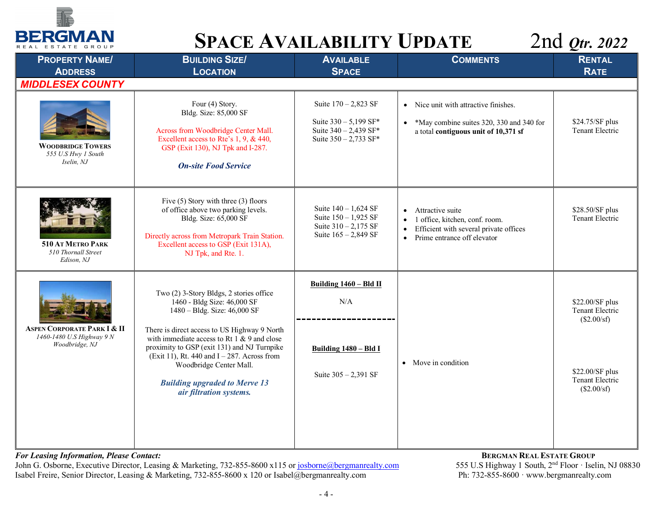

| <b>PROPERTY NAME/</b><br><b>ADDRESS</b>                                    | <b>BUILDING SIZE/</b><br><b>LOCATION</b>                                                                                                                                                                                                                                                                                                                                                                | <b>AVAILABLE</b><br><b>SPACE</b>                                                                    | <b>COMMENTS</b>                                                                                                                                         | <b>RENTAL</b><br><b>RATE</b>                                                                           |
|----------------------------------------------------------------------------|---------------------------------------------------------------------------------------------------------------------------------------------------------------------------------------------------------------------------------------------------------------------------------------------------------------------------------------------------------------------------------------------------------|-----------------------------------------------------------------------------------------------------|---------------------------------------------------------------------------------------------------------------------------------------------------------|--------------------------------------------------------------------------------------------------------|
| <b>MIDDLESEX COUNTY</b>                                                    |                                                                                                                                                                                                                                                                                                                                                                                                         |                                                                                                     |                                                                                                                                                         |                                                                                                        |
| <b>WOODBRIDGE TOWERS</b><br>555 U.S Hwy 1 South<br>Iselin, NJ              | Four (4) Story.<br>Bldg. Size: 85,000 SF<br>Across from Woodbridge Center Mall.<br>Excellent access to Rte's 1, 9, & 440,<br>GSP (Exit 130), NJ Tpk and I-287.<br><b>On-site Food Service</b>                                                                                                                                                                                                           | Suite $170 - 2,823$ SF<br>Suite 330 - 5,199 SF*<br>Suite 340 - 2,439 SF*<br>Suite $350 - 2,733$ SF* | • Nice unit with attractive finishes.<br>• *May combine suites 320, 330 and 340 for<br>a total contiguous unit of 10,371 sf                             | \$24.75/SF plus<br>Tenant Electric                                                                     |
| 510 AT METRO PARK<br>510 Thornall Street<br>Edison, NJ                     | Five (5) Story with three (3) floors<br>of office above two parking levels.<br>Bldg. Size: 65,000 SF<br>Directly across from Metropark Train Station.<br>Excellent access to GSP (Exit 131A),<br>NJ Tpk, and Rte. 1.                                                                                                                                                                                    | Suite $140 - 1,624$ SF<br>Suite 150 - 1,925 SF<br>Suite $310 - 2,175$ SF<br>Suite 165 - 2,849 SF    | • Attractive suite<br>1 office, kitchen, conf. room.<br>Efficient with several private offices<br>$\bullet$<br>Prime entrance off elevator<br>$\bullet$ | \$28.50/SF plus<br>Tenant Electric                                                                     |
| ASPEN CORPORATE PARK I & II<br>1460-1480 U.S Highway 9 N<br>Woodbridge, NJ | Two (2) 3-Story Bldgs, 2 stories office<br>1460 - Bldg Size: 46,000 SF<br>1480 - Bldg. Size: 46,000 SF<br>There is direct access to US Highway 9 North<br>with immediate access to Rt $1 \& 9$ and close<br>proximity to GSP (exit 131) and NJ Turnpike<br>(Exit 11), Rt. 440 and $I - 287$ . Across from<br>Woodbridge Center Mall.<br><b>Building upgraded to Merve 13</b><br>air filtration systems. | Building 1460 - Bld II<br>N/A<br>Building 1480 - Bld I<br>Suite $305 - 2,391$ SF                    | • Move in condition                                                                                                                                     | \$22.00/SF plus<br>Tenant Electric<br>(\$2.00/sf)<br>\$22.00/SF plus<br>Tenant Electric<br>(\$2.00/sf) |

### *For Leasing Information, Please Contact:* $\qquad \qquad$  **<b>BERGMAN REAL ESTATE GROUP**

John G. Osborne, Executive Director, Leasing & Marketing, 732-855-8600 x115 or josborne@bergmanrealty.com 555 U.S Highway 1 South, 2<sup>nd</sup> Floor · Iselin, N<br>Isabel Freire, Senior Director, Leasing & Marketing, 732-855-8600 x Isabel Freire, Senior Director, Leasing & Marketing, 732-855-8600 x 120 or Isabel@bergmanrealty.com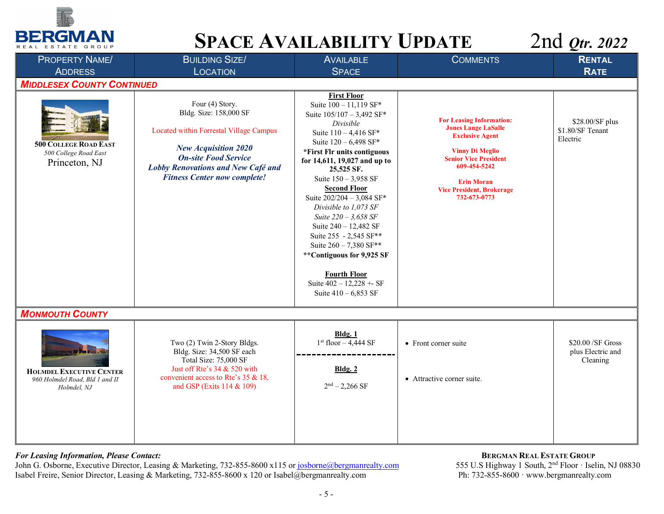



| <b>PROPERTY NAME/</b>                                                            | <b>BUILDING SIZE/</b>                                                                                                                                                                                                                  | <b>AVAILABLE</b>                                                                                                                                                                                                                                                                                                                                                                                                                                                                                                                              | <b>COMMENTS</b>                                                                                                                                                                                                                            | <b>RENTAL</b>                                       |
|----------------------------------------------------------------------------------|----------------------------------------------------------------------------------------------------------------------------------------------------------------------------------------------------------------------------------------|-----------------------------------------------------------------------------------------------------------------------------------------------------------------------------------------------------------------------------------------------------------------------------------------------------------------------------------------------------------------------------------------------------------------------------------------------------------------------------------------------------------------------------------------------|--------------------------------------------------------------------------------------------------------------------------------------------------------------------------------------------------------------------------------------------|-----------------------------------------------------|
| <b>ADDRESS</b>                                                                   | <b>LOCATION</b>                                                                                                                                                                                                                        | <b>SPACE</b>                                                                                                                                                                                                                                                                                                                                                                                                                                                                                                                                  |                                                                                                                                                                                                                                            | <b>RATE</b>                                         |
| <b>MIDDLESEX COUNTY CONTINUED</b>                                                |                                                                                                                                                                                                                                        |                                                                                                                                                                                                                                                                                                                                                                                                                                                                                                                                               |                                                                                                                                                                                                                                            |                                                     |
| <b>500 COLLEGE ROAD EAST</b><br>500 College Road East<br>Princeton, NJ           | Four (4) Story.<br>Bldg. Size: 158,000 SF<br>Located within Forrestal Village Campus<br><b>New Acquisition 2020</b><br><b>On-site Food Service</b><br><b>Lobby Renovations and New Café and</b><br><b>Fitness Center now complete!</b> | <b>First Floor</b><br>Suite 100 - 11,119 SF*<br>Suite 105/107 - 3,492 SF*<br>Divisible<br>Suite 110 - 4,416 SF*<br>Suite 120 - 6,498 SF*<br>*First Flr units contiguous<br>for 14,611, 19,027 and up to<br>25,525 SF.<br>Suite $150 - 3,958$ SF<br><b>Second Floor</b><br>Suite 202/204 - 3,084 SF*<br>Divisible to 1,073 SF<br>Suite 220 - 3,658 SF<br>Suite 240 - 12,482 SF<br>Suite 255 - 2,545 SF**<br>Suite $260 - 7,380$ SF**<br>**Contiguous for 9,925 SF<br><b>Fourth Floor</b><br>Suite $402 - 12,228 + S$<br>Suite $410 - 6,853$ SF | <b>For Leasing Information:</b><br><b>Jones Lange LaSalle</b><br><b>Exclusive Agent</b><br><b>Vinny Di Meglio</b><br><b>Senior Vice President</b><br>609-454-5242<br><b>Erin Moran</b><br><b>Vice President, Brokerage</b><br>732-673-0773 | \$28.00/SF plus<br>\$1.80/SF Tenant<br>Electric     |
| <b>MONMOUTH COUNTY</b>                                                           |                                                                                                                                                                                                                                        |                                                                                                                                                                                                                                                                                                                                                                                                                                                                                                                                               |                                                                                                                                                                                                                                            |                                                     |
| <b>HOLMDEL EXECUTIVE CENTER</b><br>960 Holmdel Road, Bld 1 and II<br>Holmdel, NJ | Two (2) Twin 2-Story Bldgs.<br>Bldg. Size: 34,500 SF each<br>Total Size: 75,000 SF<br>Just off Rte's 34 & 520 with<br>convenient access to Rte's 35 & 18,<br>and GSP (Exits 114 & 109)                                                 | Bldg. 1<br>$1st$ floor $-4,444$ SF<br><b>Bldg. 2</b><br>$2nd - 2,266$ SF                                                                                                                                                                                                                                                                                                                                                                                                                                                                      | • Front corner suite<br>• Attractive corner suite.                                                                                                                                                                                         | $$20.00$ /SF Gross<br>plus Electric and<br>Cleaning |
|                                                                                  |                                                                                                                                                                                                                                        |                                                                                                                                                                                                                                                                                                                                                                                                                                                                                                                                               |                                                                                                                                                                                                                                            |                                                     |

### *For Leasing Information, Please Contact:* $\blacksquare$

John G. Osborne, Executive Director, Leasing & Marketing, 732-855-8600 x115 or josborne@bergmanrealty.com 555 U.S Highway 1 South, 2<sup>nd</sup> Floor · Iselin, N<br>Isabel Freire, Senior Director, Leasing & Marketing, 732-855-8600 x Isabel Freire, Senior Director, Leasing & Marketing, 732-855-8600 x 120 or Isabel@bergmanrealty.com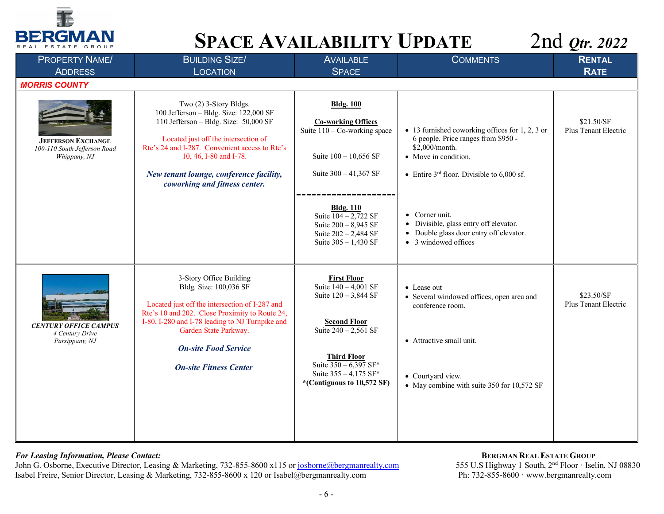



| <b>PROPERTY NAME/</b>                                                     | <b>BUILDING SIZE/</b>                                                                                                                                                                                                                                                                                     | <b>AVAILABLE</b>                                                                                                                                                                                                                    | <b>COMMENTS</b>                                                                                                                                                                          | <b>RENTAL</b>                      |
|---------------------------------------------------------------------------|-----------------------------------------------------------------------------------------------------------------------------------------------------------------------------------------------------------------------------------------------------------------------------------------------------------|-------------------------------------------------------------------------------------------------------------------------------------------------------------------------------------------------------------------------------------|------------------------------------------------------------------------------------------------------------------------------------------------------------------------------------------|------------------------------------|
| <b>ADDRESS</b>                                                            | <b>LOCATION</b>                                                                                                                                                                                                                                                                                           | <b>SPACE</b>                                                                                                                                                                                                                        |                                                                                                                                                                                          | <b>RATE</b>                        |
| <b>MORRIS COUNTY</b>                                                      |                                                                                                                                                                                                                                                                                                           |                                                                                                                                                                                                                                     |                                                                                                                                                                                          |                                    |
| <b>JEFFERSON EXCHANGE</b><br>100-110 South Jefferson Road<br>Whippany, NJ | Two (2) 3-Story Bldgs.<br>100 Jefferson - Bldg. Size: 122,000 SF<br>110 Jefferson - Bldg. Size: 50,000 SF<br>Located just off the intersection of<br>Rte's 24 and I-287. Convenient access to Rte's<br>10, 46, I-80 and I-78.<br>New tenant lounge, conference facility,<br>coworking and fitness center. | <b>Bldg. 100</b><br><b>Co-working Offices</b><br>Suite $110 - Co$ -working space<br>Suite 100 - 10,656 SF<br>Suite $300 - 41,367$ SF                                                                                                | $\bullet$ 13 furnished coworking offices for 1, 2, 3 or<br>6 people. Price ranges from \$950 -<br>\$2,000/month.<br>• Move in condition.<br>• Entire $3rd$ floor. Divisible to 6,000 sf. | \$21.50/SF<br>Plus Tenant Electric |
|                                                                           |                                                                                                                                                                                                                                                                                                           | <b>Bldg. 110</b><br>Suite $\sqrt{104 - 2.722}$ SF<br>Suite 200 - 8,945 SF<br>Suite 202 - 2,484 SF<br>Suite $305 - 1,430$ SF                                                                                                         | • Corner unit.<br>• Divisible, glass entry off elevator.<br>• Double glass door entry off elevator.<br>• 3 windowed offices                                                              |                                    |
| <b>CENTURY OFFICE CAMPUS</b><br>4 Century Drive<br>Parsippany, NJ         | 3-Story Office Building<br>Bldg. Size: 100,036 SF<br>Located just off the intersection of I-287 and<br>Rte's 10 and 202. Close Proximity to Route 24,<br>I-80, I-280 and I-78 leading to NJ Turnpike and<br>Garden State Parkway.<br><b>On-site Food Service</b><br><b>On-site Fitness Center</b>         | <b>First Floor</b><br>Suite $\sqrt{140 - 4001}$ SF<br>Suite 120 - 3,844 SF<br><b>Second Floor</b><br>Suite $240 - 2,561$ SF<br><b>Third Floor</b><br>Suite $350 - 6,397$ SF*<br>Suite 355 - 4,175 SF*<br>*(Contiguous to 10,572 SF) | • Lease out<br>• Several windowed offices, open area and<br>conference room.<br>• Attractive small unit.<br>• Courtyard view.<br>• May combine with suite 350 for 10,572 SF              | \$23.50/SF<br>Plus Tenant Electric |

### *For Leasing Information, Please Contact:* $\qquad \qquad$  **<b>BERGMAN REAL ESTATE GROUP**

John G. Osborne, Executive Director, Leasing & Marketing, 732-855-8600 x115 or josborne@bergmanrealty.com 555 U.S Highway 1 South, 2<sup>nd</sup> Floor · Iselin, N<br>Isabel Freire, Senior Director, Leasing & Marketing, 732-855-8600 x Isabel Freire, Senior Director, Leasing & Marketing, 732-855-8600 x 120 or Isabel@bergmanrealty.com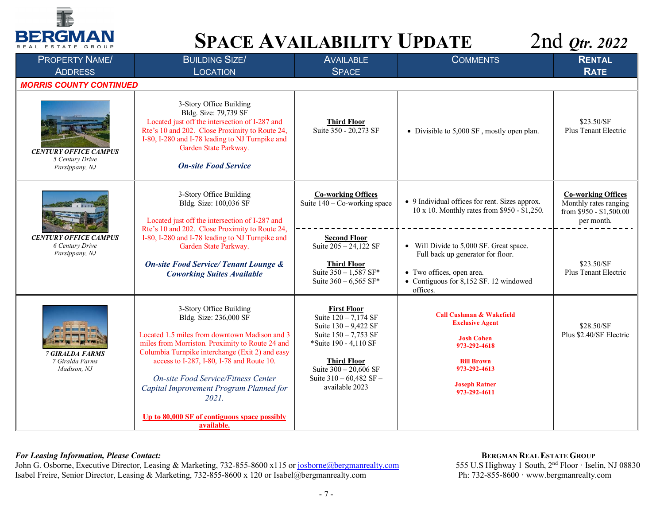



| <b>PROPERTY NAME/</b>                                             | <b>BUILDING SIZE/</b>                                                                                                                                                                                                                                                                                                                                                                                          | <b>AVAILABLE</b>                                                                                                                                                                                                             | <b>COMMENTS</b>                                                                                                                                                                 | <b>RENTAL</b>                                                                               |
|-------------------------------------------------------------------|----------------------------------------------------------------------------------------------------------------------------------------------------------------------------------------------------------------------------------------------------------------------------------------------------------------------------------------------------------------------------------------------------------------|------------------------------------------------------------------------------------------------------------------------------------------------------------------------------------------------------------------------------|---------------------------------------------------------------------------------------------------------------------------------------------------------------------------------|---------------------------------------------------------------------------------------------|
| <b>ADDRESS</b>                                                    | LOCATION                                                                                                                                                                                                                                                                                                                                                                                                       | <b>SPACE</b>                                                                                                                                                                                                                 |                                                                                                                                                                                 | <b>RATE</b>                                                                                 |
| <b>MORRIS COUNTY CONTINUED</b>                                    |                                                                                                                                                                                                                                                                                                                                                                                                                |                                                                                                                                                                                                                              |                                                                                                                                                                                 |                                                                                             |
| <b>CENTURY OFFICE CAMPUS</b><br>5 Century Drive<br>Parsippany, NJ | 3-Story Office Building<br>Bldg. Size: 79,739 SF<br>Located just off the intersection of I-287 and<br>Rte's 10 and 202. Close Proximity to Route 24,<br>I-80, I-280 and I-78 leading to NJ Turnpike and<br>Garden State Parkway.<br><b>On-site Food Service</b>                                                                                                                                                | <b>Third Floor</b><br>Suite 350 - 20,273 SF                                                                                                                                                                                  | • Divisible to 5,000 SF, mostly open plan.                                                                                                                                      | \$23.50/SF<br>Plus Tenant Electric                                                          |
|                                                                   | 3-Story Office Building<br>Bldg. Size: 100,036 SF<br>Located just off the intersection of I-287 and<br>Rte's 10 and 202. Close Proximity to Route 24,                                                                                                                                                                                                                                                          | <b>Co-working Offices</b><br>Suite $140 - \text{Co-working space}$                                                                                                                                                           | • 9 Individual offices for rent. Sizes approx.<br>10 x 10. Monthly rates from \$950 - \$1,250.                                                                                  | <b>Co-working Offices</b><br>Monthly rates ranging<br>from \$950 - \$1,500.00<br>per month. |
| <b>CENTURY OFFICE CAMPUS</b><br>6 Century Drive<br>Parsippany, NJ | I-80, I-280 and I-78 leading to NJ Turnpike and<br>Garden State Parkway.<br><b>On-site Food Service/Tenant Lounge &amp;</b><br><b>Coworking Suites Available</b>                                                                                                                                                                                                                                               | <b>Second Floor</b><br>Suite $205 - 24,122$ SF<br><b>Third Floor</b><br>Suite $350 - 1,587$ SF*<br>Suite $360 - 6,565$ SF*                                                                                                   | • Will Divide to 5,000 SF. Great space.<br>Full back up generator for floor.<br>• Two offices, open area.<br>• Contiguous for 8,152 SF. 12 windowed<br>offices.                 | \$23.50/SF<br>Plus Tenant Electric                                                          |
| <b>7 GIRALDA FARMS</b><br>7 Giralda Farms<br>Madison, NJ          | 3-Story Office Building<br>Bldg. Size: 236,000 SF<br>Located 1.5 miles from downtown Madison and 3<br>miles from Morriston. Proximity to Route 24 and<br>Columbia Turnpike interchange (Exit 2) and easy<br>access to I-287, I-80, I-78 and Route 10.<br>On-site Food Service/Fitness Center<br>Capital Improvement Program Planned for<br>2021.<br>Up to 80,000 SF of contiguous space possibly<br>available. | <b>First Floor</b><br>Suite $\sqrt{120 - 7,174}$ SF<br>Suite 130 - 9,422 SF<br>Suite 150 - 7,753 SF<br>*Suite 190 - 4,110 SF<br><b>Third Floor</b><br>Suite $300 - 20,606$ SF<br>Suite $310 - 60,482$ SF -<br>available 2023 | <b>Call Cushman &amp; Wakefield</b><br><b>Exclusive Agent</b><br><b>Josh Cohen</b><br>973-292-4618<br><b>Bill Brown</b><br>973-292-4613<br><b>Joseph Ratner</b><br>973-292-4611 | \$28.50/SF<br>Plus \$2.40/SF Electric                                                       |

### *For Leasing Information, Please Contact:* $\qquad \qquad$  **<b>BERGMAN REAL ESTATE GROUP**

John G. Osborne, Executive Director, Leasing & Marketing, 732-855-8600 x115 or josborne@bergmanrealty.com 555 U.S Highway 1 South, 2<sup>nd</sup> Floor · Iselin, N<br>Isabel Freire, Senior Director, Leasing & Marketing, 732-855-8600 x Isabel Freire, Senior Director, Leasing & Marketing, 732-855-8600 x 120 or Isabel@bergmanrealty.com